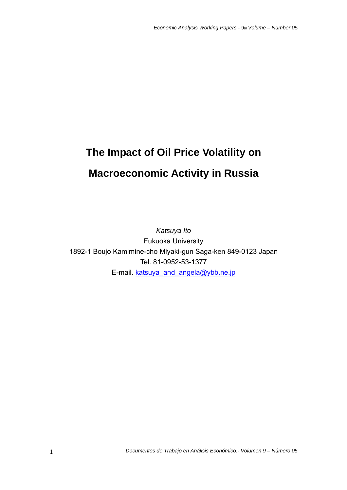# **The Impact of Oil Price Volatility on Macroeconomic Activity in Russia**

*Katsuya Ito*  Fukuoka University 1892-1 Boujo Kamimine-cho Miyaki-gun Saga-ken 849-0123 Japan Tel. 81-0952-53-1377 E-mail. katsuya\_and\_angela@ybb.ne.jp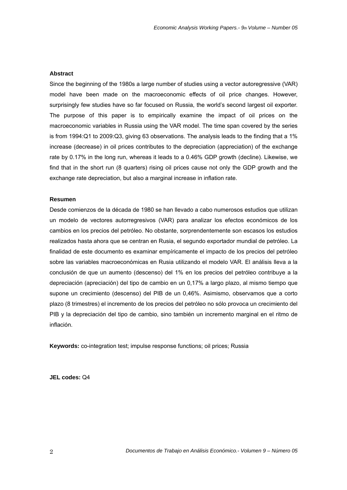# **Abstract**

Since the beginning of the 1980s a large number of studies using a vector autoregressive (VAR) model have been made on the macroeconomic effects of oil price changes. However, surprisingly few studies have so far focused on Russia, the world's second largest oil exporter. The purpose of this paper is to empirically examine the impact of oil prices on the macroeconomic variables in Russia using the VAR model. The time span covered by the series is from 1994:Q1 to 2009:Q3, giving 63 observations. The analysis leads to the finding that a 1% increase (decrease) in oil prices contributes to the depreciation (appreciation) of the exchange rate by 0.17% in the long run, whereas it leads to a 0.46% GDP growth (decline). Likewise, we find that in the short run (8 quarters) rising oil prices cause not only the GDP growth and the exchange rate depreciation, but also a marginal increase in inflation rate.

#### **Resumen**

Desde comienzos de la década de 1980 se han llevado a cabo numerosos estudios que utilizan un modelo de vectores autorregresivos (VAR) para analizar los efectos económicos de los cambios en los precios del petróleo. No obstante, sorprendentemente son escasos los estudios realizados hasta ahora que se centran en Rusia, el segundo exportador mundial de petróleo. La finalidad de este documento es examinar empíricamente el impacto de los precios del petróleo sobre las variables macroeconómicas en Rusia utilizando el modelo VAR. El análisis lleva a la conclusión de que un aumento (descenso) del 1% en los precios del petróleo contribuye a la depreciación (apreciación) del tipo de cambio en un 0,17% a largo plazo, al mismo tiempo que supone un crecimiento (descenso) del PIB de un 0,46%. Asimismo, observamos que a corto plazo (8 trimestres) el incremento de los precios del petróleo no sólo provoca un crecimiento del PIB y la depreciación del tipo de cambio, sino también un incremento marginal en el ritmo de inflación.

**Keywords:** co-integration test; impulse response functions; oil prices; Russia

**JEL codes:** Q4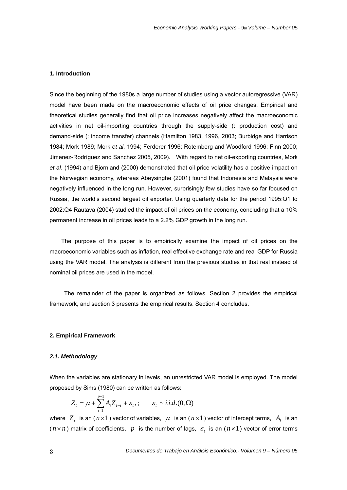# **1. Introduction**

Since the beginning of the 1980s a large number of studies using a vector autoregressive (VAR) model have been made on the macroeconomic effects of oil price changes. Empirical and theoretical studies generally find that oil price increases negatively affect the macroeconomic activities in net oil-importing countries through the supply-side (: production cost) and demand-side (: income transfer) channels (Hamilton 1983, 1996, 2003; Burbidge and Harrison 1984; Mork 1989; Mork *et al*. 1994; Ferderer 1996; Rotemberg and Woodford 1996; Finn 2000; Jimenez-Rodríguez and Sanchez 2005, 2009). With regard to net oil-exporting countries, Mork *et al*. (1994) and Bjornland (2000) demonstrated that oil price volatility has a positive impact on the Norwegian economy, whereas Abeysinghe (2001) found that Indonesia and Malaysia were negatively influenced in the long run. However, surprisingly few studies have so far focused on Russia, the world's second largest oil exporter. Using quarterly data for the period 1995:Q1 to 2002:Q4 Rautava (2004) studied the impact of oil prices on the economy, concluding that a 10% permanent increase in oil prices leads to a 2.2% GDP growth in the long run.

The purpose of this paper is to empirically examine the impact of oil prices on the macroeconomic variables such as inflation, real effective exchange rate and real GDP for Russia using the VAR model. The analysis is different from the previous studies in that real instead of nominal oil prices are used in the model.

The remainder of the paper is organized as follows. Section 2 provides the empirical framework, and section 3 presents the empirical results. Section 4 concludes.

#### **2. Empirical Framework**

### *2.1. Methodology*

When the variables are stationary in levels, an unrestricted VAR model is employed. The model proposed by Sims (1980) can be written as follows:

$$
Z_t = \mu + \sum_{i=1}^{p-1} A_i Z_{t-i} + \varepsilon_t, \qquad \varepsilon_t \sim i.i.d.(0, \Omega)
$$

where  $Z_t$  is an  $(n \times 1)$  vector of variables,  $\mu$  is an  $(n \times 1)$  vector of intercept terms,  $A_i$  is an  $(n \times n)$  matrix of coefficients, p is the number of lags,  $\varepsilon$  is an  $(n \times 1)$  vector of error terms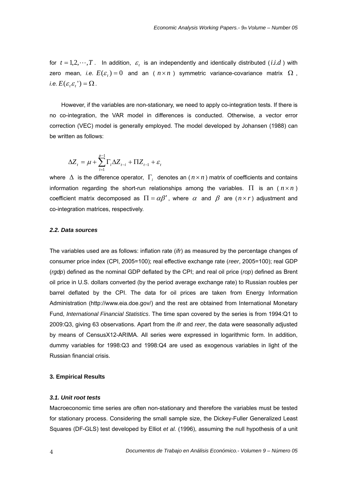for  $t = 1, 2, \dots, T$ . In addition,  $\varepsilon$ , is an independently and identically distributed (*i.i.d*) with zero mean, *i.e.*  $E(\varepsilon) = 0$  and an ( $n \times n$ ) symmetric variance-covariance matrix  $\Omega$ , *i.e.*  $E(\varepsilon_{t} \varepsilon_{t}) = \Omega$ .

However, if the variables are non-stationary, we need to apply co-integration tests. If there is no co-integration, the VAR model in differences is conducted. Otherwise, a vector error correction (VEC) model is generally employed. The model developed by Johansen (1988) can be written as follows:

$$
\Delta Z_t = \mu + \sum_{i=1}^{p-1} \Gamma_i \Delta Z_{t-i} + \Pi Z_{t-1} + \varepsilon_t
$$

where  $\Delta$  is the difference operator,  $\Gamma$ <sub>*i*</sub> denotes an  $(n \times n)$  matrix of coefficients and contains information regarding the short-run relationships among the variables.  $\Pi$  is an  $(n \times n)$ coefficient matrix decomposed as  $\Pi = \alpha \beta'$ , where  $\alpha$  and  $\beta$  are  $(n \times r)$  adjustment and co-integration matrices, respectively.

#### *2.2. Data sources*

The variables used are as follows: inflation rate (*ifr*) as measured by the percentage changes of consumer price index (CPI, 2005=100); real effective exchange rate (*reer*, 2005=100); real GDP (*rgdp*) defined as the nominal GDP deflated by the CPI; and real oil price (*rop*) defined as Brent oil price in U.S. dollars converted (by the period average exchange rate) to Russian roubles per barrel deflated by the CPI. The data for oil prices are taken from Energy Information Administration (http://www.eia.doe.gov/) and the rest are obtained from International Monetary Fund, *International Financial Statistics*. The time span covered by the series is from 1994:Q1 to 2009:Q3, giving 63 observations. Apart from the *ifr* and *reer*, the data were seasonally adjusted by means of CensusX12-ARIMA. All series were expressed in logarithmic form. In addition, dummy variables for 1998:Q3 and 1998:Q4 are used as exogenous variables in light of the Russian financial crisis.

#### **3. Empirical Results**

# *3.1. Unit root tests*

Macroeconomic time series are often non-stationary and therefore the variables must be tested for stationary process. Considering the small sample size, the Dickey-Fuller Generalized Least Squares (DF-GLS) test developed by Elliot *et al.* (1996), assuming the null hypothesis of a unit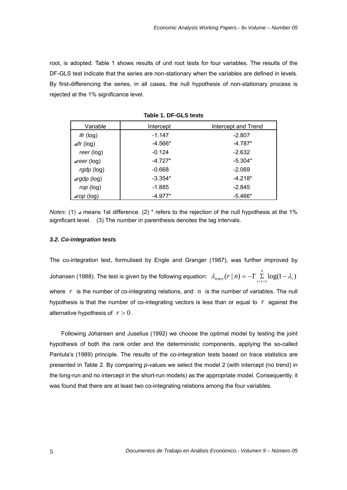root, is adopted. Table 1 shows results of unit root tests for four variables. The results of the DF-GLS test indicate that the series are non-stationary when the variables are defined in levels. By first-differencing the series, in all cases, the null hypothesis of non-stationary process is rejected at the 1% significance level.

| Variable               | Intercept | Intercept and Trend |
|------------------------|-----------|---------------------|
| ifr (log)              | $-1.147$  | $-2.807$            |
| $\triangle$ ifr (log)  | $-4.566*$ | $-4.787*$           |
| reer (log)             | $-0.124$  | $-2.632$            |
| $\triangle$ reer (log) | $-4.727*$ | $-5.304*$           |
| rgdp (log)             | $-0.668$  | $-2.069$            |
| $argdp$ (log)          | $-3.354*$ | $-4.218*$           |
| rop (log)              | $-1.885$  | $-2.845$            |
| $\triangle$ rop (log)  | $-4.977*$ | $-5.466*$           |

**Table 1. DF-GLS tests**

*Notes*: (1) ⊿ means 1st difference. (2) \* refers to the rejection of the null hypothesis at the 1% significant level. (3) The number in parenthesis denotes the lag intervals.

#### *3.2. Co-integration tests*

The co-integration test, formulised by Engle and Granger (1987), was further improved by Johansen (1988). The test is given by the following equation:  $\lambda_{trace}(r | n) = -T \sum\limits_{i=r+1}^{\infty} \log(1 - \lambda_i)$ *n*  $\lambda_{\text{trace}}(r \mid n) = -T \sum_{i=r+1}^{T} \log(1 - \lambda_i)$ where *r* is the number of co-integrating relations, and *n* is the number of variables. The null hypothesis is that the number of co-integrating vectors is less than or equal to *r* against the alternative hypothesis of  $r > 0$ .

Following Johansen and Juselius (1992) we choose the optimal model by testing the joint hypothesis of both the rank order and the deterministic components, applying the so-called Pantula's (1989) principle. The results of the co-integration tests based on trace statistics are presented in Table 2. By comparing *p*-values we select the model 2 (with intercept (no trend) in the long-run and no intercept in the short-run models) as the appropriate model. Consequently, it was found that there are at least two co-integrating relations among the four variables.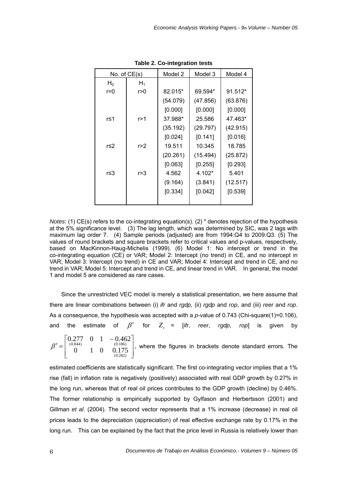| No. of $CE(s)$ |       | Model 2  | Model 3  | Model 4  |
|----------------|-------|----------|----------|----------|
| $H_0$          | $H_1$ |          |          |          |
| r=0            | r > 0 | 82.015*  | 69.594*  | 91.512*  |
|                |       | (54.079) | (47.856) | (63.876) |
|                |       | [0.000]  | [0.000]  | [0.000]  |
| r≤1            | r>1   | 37.988*  | 25.586   | 47.463*  |
|                |       | (35.192) | (29.797) | (42.915) |
|                |       | [0.024]  | [0.141]  | [0.016]  |
| r≤2            | r > 2 | 19.511   | 10.345   | 18.785   |
|                |       | (20.261) | (15.494) | (25.872) |
|                |       | [0.063]  | [0.255]  | [0.293]  |
| r≤3            | r>3   | 4.562    | $4.102*$ | 5.401    |
|                |       | (9.164)  | (3.841)  | (12.517) |
|                |       | [0.334]  | [0.042]  | [0.539]  |
|                |       |          |          |          |

**Table 2. Co-integration tests** 

*Notes*: (1) CE(s) refers to the co-integrating equation(s). (2) \* denotes rejection of the hypothesis at the 5% significance level. (3) The lag length, which was determined by SIC, was 2 lags with maximum lag order 7. (4) Sample periods (adjusted) are from 1994:Q4 to 2009:Q3. (5) The values of round brackets and square brackets refer to critical values and p-values, respectively, based on MacKinnon-Haug-Michelis (1999). (6) Model 1: No intercept or trend in the co-integrating equation (CE) or VAR; Model 2: Intercept (no trend) in CE, and no intercept in VAR; Model 3: Intercept (no trend) in CE and VAR; Model 4: Intercept and trend in CE, and no trend in VAR; Model 5: Intercept and trend in CE, and linear trend in VAR. In general, the model 1 and model 5 are considered as rare cases.

Since the unrestricted VEC model is merely a statistical presentation, we here assume that there are linear combinations between (i) *ifr* and *rgdp*, (ii) *rgdp* and *rop*, and (iii) *reer* and *rop*. As a consequence, the hypothesis was accepted with a *p*-value of 0.743 (Chi-square(1)=0.106), and the estimate of  $\beta'$  for  $Z_t = [ifr, reer, rgdp, rop]$  is given by

 $\overline{\phantom{a}}$  $\overline{\phantom{a}}$ ⎦ ⎤  $\mathsf{I}$ ⎣  $\begin{bmatrix} 0.277 & 0 & 1 & - \end{bmatrix}$  $' =$ (0.282) (0.044) (0.186) 0 1 0 0.175  $0.277$  0 1  $-0.462$  $\beta' = \begin{bmatrix} (0.044) & (0.186) \\ 0 & 1 \end{bmatrix}$  , where the figures in brackets denote standard errors. The

estimated coefficients are statistically significant. The first co-integrating vector implies that a 1% rise (fall) in inflation rate is negatively (positively) associated with real GDP growth by 0.27% in the long run, whereas that of real oil prices contributes to the GDP growth (decline) by 0.46%. The former relationship is empirically supported by Gylfason and Herbertsson (2001) and Gillman *et al*. (2004). The second vector represents that a 1% increase (decrease) in real oil prices leads to the depreciation (appreciation) of real effective exchange rate by 0.17% in the long run. This can be explained by the fact that the price level in Russia is relatively lower than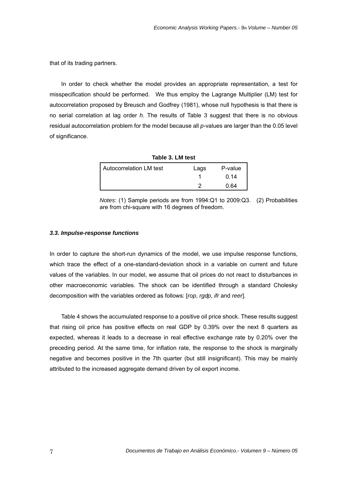that of its trading partners.

In order to check whether the model provides an appropriate representation, a test for misspecification should be performed. We thus employ the Lagrange Multiplier (LM) test for autocorrelation proposed by Breusch and Godfrey (1981), whose null hypothesis is that there is no serial correlation at lag order *h*. The results of Table 3 suggest that there is no obvious residual autocorrelation problem for the model because all *p*-values are larger than the 0.05 level of significance.

| Table 3. LM test        |      |         |
|-------------------------|------|---------|
| Autocorrelation LM test | Lags | P-value |
|                         |      | 0.14    |
|                         |      | 0.64    |

*Notes*: (1) Sample periods are from 1994:Q1 to 2009:Q3. (2) Probabilities are from chi-square with 16 degrees of freedom.

#### *3.3. Impulse-response functions*

In order to capture the short-run dynamics of the model, we use impulse response functions, which trace the effect of a one-standard-deviation shock in a variable on current and future values of the variables. In our model, we assume that oil prices do not react to disturbances in other macroeconomic variables. The shock can be identified through a standard Cholesky decomposition with the variables ordered as follows: [*rop*, *rgdp*, *ifr* and *reer*].

 Table 4 shows the accumulated response to a positive oil price shock. These results suggest that rising oil price has positive effects on real GDP by 0.39% over the next 8 quarters as expected, whereas it leads to a decrease in real effective exchange rate by 0.20% over the preceding period. At the same time, for inflation rate, the response to the shock is marginally negative and becomes positive in the 7th quarter (but still insignificant). This may be mainly attributed to the increased aggregate demand driven by oil export income.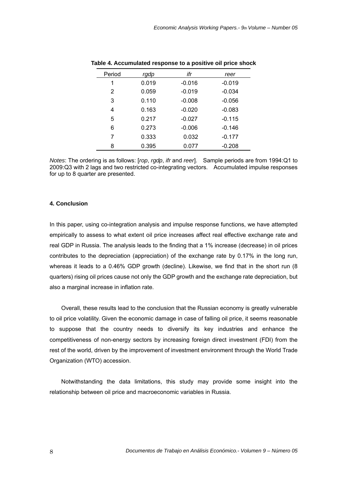| Period | rgdp  | ifr      | reer     |
|--------|-------|----------|----------|
| 1      | 0.019 | $-0.016$ | $-0.019$ |
| 2      | 0.059 | $-0.019$ | $-0.034$ |
| 3      | 0.110 | $-0.008$ | $-0.056$ |
| 4      | 0.163 | $-0.020$ | $-0.083$ |
| 5      | 0.217 | $-0.027$ | $-0.115$ |
| 6      | 0.273 | $-0.006$ | $-0.146$ |
| 7      | 0.333 | 0.032    | $-0.177$ |
| 8      | 0.395 | 0.077    | $-0.208$ |

| Table 4. Accumulated response to a positive oil price shock |
|-------------------------------------------------------------|
|-------------------------------------------------------------|

*Notes*: The ordering is as follows: [*rop*, *rgdp*, *ifr* and *reer*]. Sample periods are from 1994:Q1 to 2009:Q3 with 2 lags and two restricted co-integrating vectors. Accumulated impulse responses for up to 8 quarter are presented.

#### **4. Conclusion**

In this paper, using co-integration analysis and impulse response functions, we have attempted empirically to assess to what extent oil price increases affect real effective exchange rate and real GDP in Russia. The analysis leads to the finding that a 1% increase (decrease) in oil prices contributes to the depreciation (appreciation) of the exchange rate by 0.17% in the long run, whereas it leads to a 0.46% GDP growth (decline). Likewise, we find that in the short run (8 quarters) rising oil prices cause not only the GDP growth and the exchange rate depreciation, but also a marginal increase in inflation rate.

Overall, these results lead to the conclusion that the Russian economy is greatly vulnerable to oil price volatility. Given the economic damage in case of falling oil price, it seems reasonable to suppose that the country needs to diversify its key industries and enhance the competitiveness of non-energy sectors by increasing foreign direct investment (FDI) from the rest of the world, driven by the improvement of investment environment through the World Trade Organization (WTO) accession.

Notwithstanding the data limitations, this study may provide some insight into the relationship between oil price and macroeconomic variables in Russia.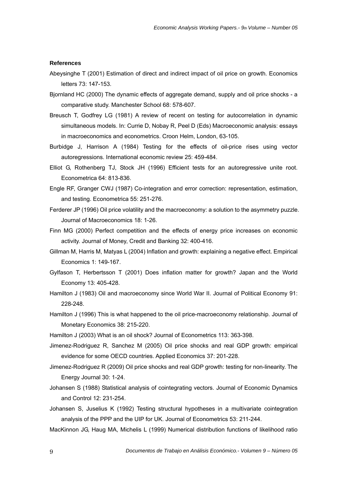# **References**

- Abeysinghe T (2001) Estimation of direct and indirect impact of oil price on growth. Economics letters 73: 147-153.
- Bjornland HC (2000) The dynamic effects of aggregate demand, supply and oil price shocks a comparative study. Manchester School 68: 578-607.
- Breusch T, Godfrey LG (1981) A review of recent on testing for autocorrelation in dynamic simultaneous models. In: Currie D, Nobay R, Peel D (Eds) Macroeconomic analysis: essays in macroeconomics and econometrics. Croon Helm, London, 63-105.
- Burbidge J, Harrison A (1984) Testing for the effects of oil-price rises using vector autoregressions. International economic review 25: 459-484.
- Elliot G, Rothenberg TJ, Stock JH (1996) Efficient tests for an autoregressive unite root. Econometrica 64: 813-836.
- Engle RF, Granger CWJ (1987) Co-integration and error correction: representation, estimation, and testing. Econometrica 55: 251-276.
- Ferderer JP (1996) Oil price volatility and the macroeconomy: a solution to the asymmetry puzzle. Journal of Macroeconomics 18: 1-26.
- Finn MG (2000) Perfect competition and the effects of energy price increases on economic activity. Journal of Money, Credit and Banking 32: 400-416.
- Gillman M, Harris M, Matyas L (2004) Inflation and growth: explaining a negative effect. Empirical Economics 1: 149-167.
- Gylfason T, Herbertsson T (2001) Does inflation matter for growth? Japan and the World Economy 13: 405-428.
- Hamilton J (1983) Oil and macroeconomy since World War II. Journal of Political Economy 91: 228-248.
- Hamilton J (1996) This is what happened to the oil price-macroeconomy relationship. Journal of Monetary Economics 38: 215-220.
- Hamilton J (2003) What is an oil shock? Journal of Econometrics 113: 363-398.
- Jimenez-Rodriguez R, Sanchez M (2005) Oil price shocks and real GDP growth: empirical evidence for some OECD countries. Applied Economics 37: 201-228.
- Jimenez-Rodriguez R (2009) Oil price shocks and real GDP growth: testing for non-linearity. The Energy Journal 30: 1-24.
- Johansen S (1988) Statistical analysis of cointegrating vectors. Journal of Economic Dynamics and Control 12: 231-254.
- Johansen S, Juselius K (1992) Testing structural hypotheses in a multivariate cointegration analysis of the PPP and the UIP for UK. Journal of Econometrics 53: 211-244.
- MacKinnon JG, Haug MA, Michelis L (1999) Numerical distribution functions of likelihood ratio